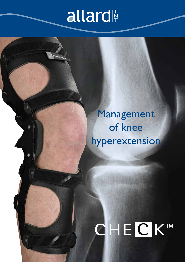## allard

Management of knee hyperextension

# CHECK™